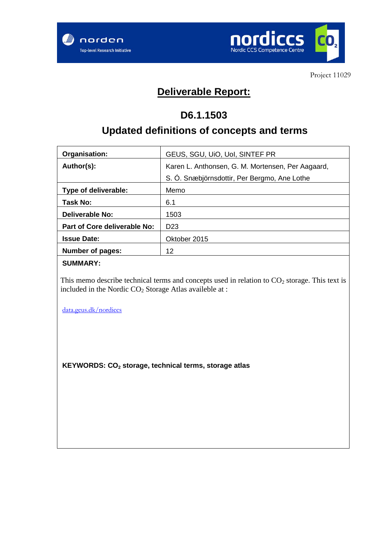



Project 11029

## **Deliverable Report:**

## **D6.1.1503**

# **Updated definitions of concepts and terms**

| Organisation:                       | GEUS, SGU, UIO, UoI, SINTEF PR                    |  |
|-------------------------------------|---------------------------------------------------|--|
| Author(s):                          | Karen L. Anthonsen, G. M. Mortensen, Per Aagaard, |  |
|                                     | S. Ó. Snæbjörnsdottir, Per Bergmo, Ane Lothe      |  |
| Type of deliverable:                | Memo                                              |  |
| Task No:                            | 6.1                                               |  |
| <b>Deliverable No:</b>              | 1503                                              |  |
| <b>Part of Core deliverable No:</b> | D <sub>23</sub>                                   |  |
| <b>Issue Date:</b>                  | Oktober 2015                                      |  |
| <b>Number of pages:</b>             | 12                                                |  |
|                                     |                                                   |  |

#### **SUMMARY:**

This memo describe technical terms and concepts used in relation to  $CO<sub>2</sub>$  storage. This text is included in the Nordic  $CO<sub>2</sub>$  Storage Atlas availeble at :

[data.geus.dk/nordiccs](https://data.geus.dk/nordiccs)

**KEYWORDS: CO2 storage, technical terms, storage atlas**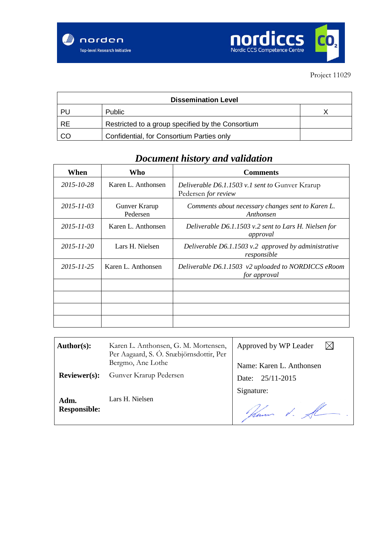

| <b>Dissemination Level</b> |                                                   |  |
|----------------------------|---------------------------------------------------|--|
| PU                         | <b>Public</b>                                     |  |
| <b>RE</b>                  | Restricted to a group specified by the Consortium |  |
| CO                         | Confidential, for Consortium Parties only         |  |

## *Document history and validation*

| When             | Who                       | <b>Comments</b>                                                               |
|------------------|---------------------------|-------------------------------------------------------------------------------|
| 2015-10-28       | Karen L. Anthonsen        | Deliverable D6.1.1503 v.1 sent to Gunver Krarup<br>Pedersen <i>for review</i> |
| $2015 - 11 - 03$ | Gunver Krarup<br>Pedersen | Comments about necessary changes sent to Karen L.<br>Anthonsen                |
| $2015 - 11 - 03$ | Karen L. Anthonsen        | Deliverable D6.1.1503 v.2 sent to Lars H. Nielsen for<br>approval             |
| 2015-11-20       | Lars H. Nielsen           | Deliverable $D6.1.1503$ v.2 approved by administrative<br>responsible         |
| 2015-11-25       | Karen L. Anthonsen        | Deliverable D6.1.1503 v2 uploaded to NORDICCS eRoom<br>for approval           |
|                  |                           |                                                                               |
|                  |                           |                                                                               |
|                  |                           |                                                                               |
|                  |                           |                                                                               |

| Author(s):                  | Karen L. Anthonsen, G. M. Mortensen,<br>Per Aagaard, S. Ó. Snæbjörnsdottir, Per | Approved by WP Leader    |
|-----------------------------|---------------------------------------------------------------------------------|--------------------------|
|                             | Bergmo, Ane Lothe                                                               | Name: Karen L. Anthonsen |
| <b>Reviewer(s):</b>         | Gunver Krarup Pedersen                                                          | Date: 25/11-2015         |
|                             |                                                                                 | Signature:               |
| Adm.<br><b>Responsible:</b> | Lars H. Nielsen                                                                 | Kam d.                   |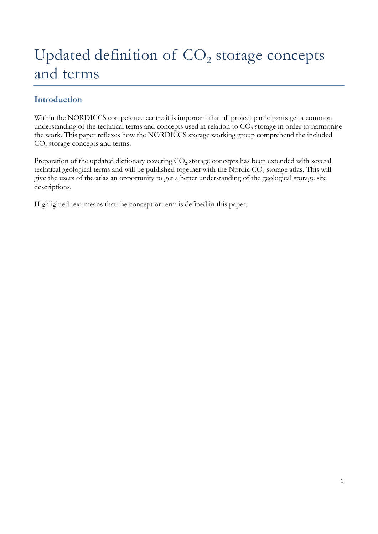# Updated definition of  $CO<sub>2</sub>$  storage concepts and terms

## **Introduction**

Within the NORDICCS competence centre it is important that all project participants get a common understanding of the technical terms and concepts used in relation to  $CO<sub>2</sub>$  storage in order to harmonise the work. This paper reflexes how the NORDICCS storage working group comprehend the included CO<sub>2</sub> storage concepts and terms.

Preparation of the updated dictionary covering  $CO<sub>2</sub>$  storage concepts has been extended with several technical geological terms and will be published together with the Nordic CO<sub>2</sub> storage atlas. This will give the users of the atlas an opportunity to get a better understanding of the geological storage site descriptions.

Highlighted text means that the concept or term is defined in this paper.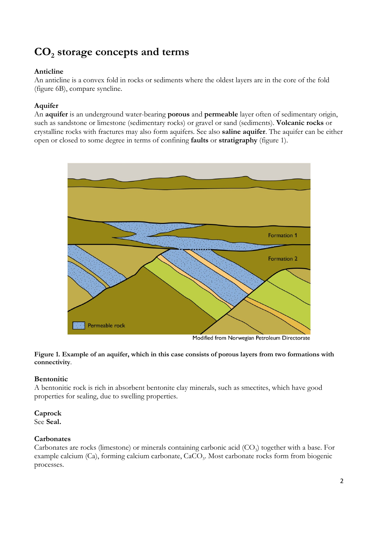# **CO2 storage concepts and terms**

#### **Anticline**

An anticline is a convex fold in rocks or sediments where the oldest layers are in the core of the fold (figure 6B), compare syncline.

### **Aquifer**

An **aquifer** is an underground water-bearing **porous** and **permeable** layer often of sedimentary origin, such as sandstone or limestone (sedimentary rocks) or gravel or sand (sediments). **Volcanic rocks** or crystalline rocks with fractures may also form aquifers. See also **saline aquifer**. The aquifer can be either open or closed to some degree in terms of confining **faults** or **stratigraphy** (figure 1).



Modified from Norwegian Petroleum Directorate

**Figure 1. Example of an aquifer, which in this case consists of porous layers from two formations with connectivity**.

#### **Bentonitic**

A bentonitic rock is rich in absorbent bentonite clay minerals, such as smectites, which have good properties for sealing, due to swelling properties.

#### **Caprock**

See **Seal.**

#### **Carbonates**

Carbonates are rocks (limestone) or minerals containing carbonic acid  $(CO<sub>3</sub>)$  together with a base. For example calcium (Ca), forming calcium carbonate, CaCO<sub>3</sub>. Most carbonate rocks form from biogenic processes.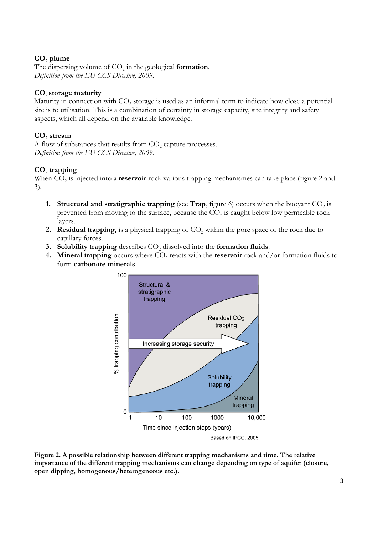#### **CO2 plume**

The dispersing volume of CO<sub>2</sub> in the geological **formation**. *Definition from the EU CCS Directive, 2009.*

#### CO<sub>2</sub> storage maturity

Maturity in connection with CO<sub>2</sub> storage is used as an informal term to indicate how close a potential site is to utilisation. This is a combination of certainty in storage capacity, site integrity and safety aspects, which all depend on the available knowledge.

#### CO<sub>2</sub> stream

A flow of substances that results from  $CO<sub>2</sub>$  capture processes. *Definition from the EU CCS Directive, 2009.*

#### **CO2 trapping**

When CO<sub>2</sub> is injected into a **reservoir** rock various trapping mechanismes can take place (figure 2 and 3).

- **1. Structural and stratigraphic trapping** (see **Trap**, figure 6) occurs when the buoyant  $CO_2$  is prevented from moving to the surface, because the  $CO<sub>2</sub>$  is caught below low permeable rock layers.
- **2. Residual trapping,** is a physical trapping of CO<sub>2</sub> within the pore space of the rock due to capillary forces.
- **3.** Solubility trapping describes CO<sub>2</sub> dissolved into the formation fluids.
- **4. Mineral trapping** occurs where  $CO<sub>2</sub>$  reacts with the **reservoir** rock and/or formation fluids to form **carbonate minerals**.



**Figure 2. A possible relationship between different trapping mechanisms and time. The relative importance of the different trapping mechanisms can change depending on type of aquifer (closure, open dipping, homogenous/heterogeneous etc.).**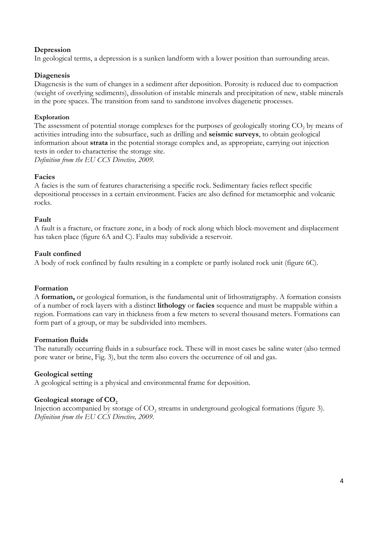#### **Depression**

In geological terms, a depression is a sunken landform with a lower position than surrounding areas.

#### **Diagenesis**

Diagenesis is the sum of changes in a sediment after deposition. Porosity is reduced due to compaction (weight of overlying sediments), dissolution of instable minerals and precipitation of new, stable minerals in the pore spaces. The transition from sand to sandstone involves diagenetic processes.

#### **Exploration**

The assessment of potential storage complexes for the purposes of geologically storing  $CO<sub>2</sub>$  by means of activities intruding into the subsurface, such as drilling and **seismic surveys**, to obtain geological information about **strata** in the potential storage complex and, as appropriate, carrying out injection tests in order to characterise the storage site. *Definition from the EU CCS Directive, 2009.*

#### **Facies**

A facies is the sum of features characterising a specific rock. Sedimentary facies reflect specific depositional processes in a certain environment. Facies are also defined for metamorphic and volcanic rocks.

#### **Fault**

A fault is a fracture, or fracture zone, in a body of rock along which block-movement and displacement has taken place (figure 6A and C). Faults may subdivide a reservoir.

#### **Fault confined**

A body of rock confined by faults resulting in a complete or partly isolated rock unit (figure 6C).

#### **Formation**

A **formation,** or geological formation, is the fundamental unit of [lithostratigraphy.](http://en.wikipedia.org/wiki/Lithostratigraphy) A formation consists of a number of rock layers with a distinct **[lithology](http://en.wikipedia.org/wiki/Lithology)** or **[facies](http://en.wikipedia.org/wiki/Sedimentary_facies)** sequence and must be mappable within a region. Formations can vary in thickness from a few meters to several thousand meters. Formations can form part of a group, or may be subdivided into members.

#### **Formation fluids**

The naturally occurring fluids in a subsurface rock. These will in most cases be saline water (also termed pore water or brine, Fig. 3), but the term also covers the occurrence of oil and gas.

#### **Geological setting**

A geological setting is a physical and environmental frame for deposition.

#### Geological storage of CO<sub>2</sub>

Injection accompanied by storage of CO<sub>2</sub> streams in underground geological formations (figure 3). *Definition from the EU CCS Directive, 2009.*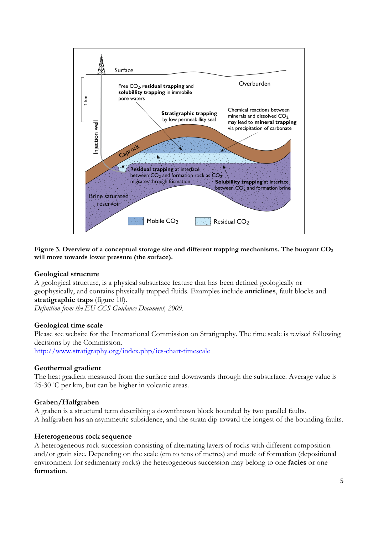

**Figure 3. Overview of a conceptual storage site and different trapping mechanisms. The buoyant CO2 will move towards lower pressure (the surface).**

#### **Geological structure**

A geological structure, is a physical subsurface feature that has been defined geologically or geophysically, and contains physically trapped fluids. Examples include **anticlines**, fault blocks and **stratigraphic traps** (figure 10).

*Definition from the EU CCS Guidance Document, 2009.*

#### **Geological time scale**

Please see website for the International Commission on Stratigraphy. The time scale is revised following decisions by the Commission.

<http://www.stratigraphy.org/index.php/ics-chart-timescale>

#### **Geothermal gradient**

The heat gradient measured from the surface and downwards through the subsurface. Average value is 25-30 ℃ per km, but can be higher in volcanic areas.

#### **Graben/Halfgraben**

A graben is a structural term describing a downthrown block bounded by two parallel faults. A halfgraben has an asymmetric subsidence, and the strata dip toward the longest of the bounding faults.

#### **Heterogeneous rock sequence**

A heterogeneous rock succession consisting of alternating layers of rocks with different composition and/or grain size. Depending on the scale (cm to tens of metres) and mode of formation (depositional environment for sedimentary rocks) the heterogeneous succession may belong to one **facies** or one **formation**.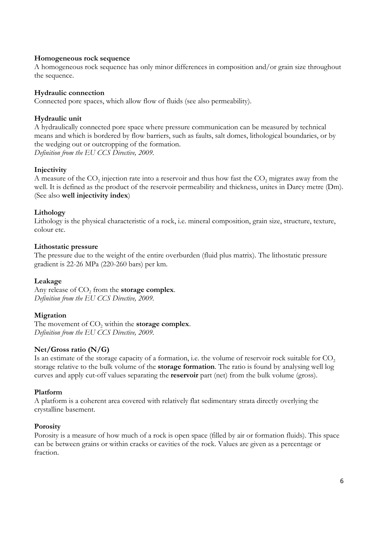#### **Homogeneous rock sequence**

A homogeneous rock sequence has only minor differences in composition and/or grain size throughout the sequence.

#### **Hydraulic connection**

Connected pore spaces, which allow flow of fluids (see also permeability).

#### **Hydraulic unit**

A hydraulically connected pore space where pressure communication can be measured by technical means and which is bordered by flow barriers, such as faults, salt domes, lithological boundaries, or by the wedging out or outcropping of the formation. *Definition from the EU CCS Directive, 2009.*

#### **Injectivity**

A measure of the  $CO<sub>2</sub>$  injection rate into a reservoir and thus how fast the  $CO<sub>2</sub>$  migrates away from the well. It is defined as the product of the reservoir permeability and thickness, unites in Darcy metre (Dm). (See also **well injectivity index**)

#### **Lithology**

Lithology is the physical characteristic of a rock, i.e. mineral composition, grain size, structure, texture, colour etc.

#### **Lithostatic pressure**

The pressure due to the weight of the entire overburden (fluid plus matrix). The lithostatic pressure gradient is 22-26 MPa (220-260 bars) per km.

#### **Leakage**

Any release of CO<sub>2</sub> from the **storage complex**. *Definition from the EU CCS Directive, 2009.*

#### **Migration**

The movement of CO<sub>2</sub> within the **storage complex**. *Definition from the EU CCS Directive, 2009.*

#### **Net/Gross ratio (N/G)**

Is an estimate of the storage capacity of a formation, i.e. the volume of reservoir rock suitable for  $CO<sub>2</sub>$ storage relative to the bulk volume of the **storage formation**. The ratio is found by analysing well log curves and apply cut-off values separating the **reservoir** part (net) from the bulk volume (gross).

#### **Platform**

A platform is a coherent area covered with relatively flat sedimentary strata directly overlying the crystalline basement.

#### **Porosity**

Porosity is a measure of how much of a rock is open space (filled by air or formation fluids). This space can be between grains or within cracks or cavities of the rock. Values are given as a percentage or fraction.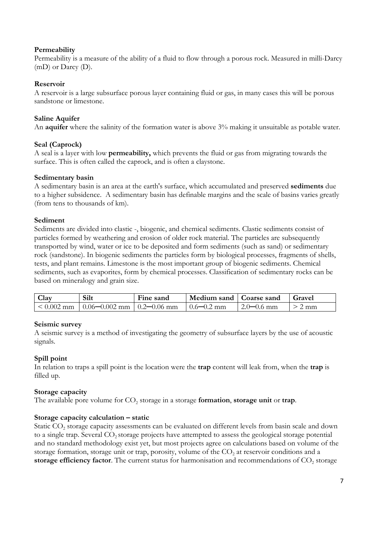#### **Permeability**

Permeability is a measure of the ability of a fluid to flow through a porous rock. Measured in milli-Darcy (mD) or Darcy (D).

#### **Reservoir**

A reservoir is a large subsurface porous layer containing fluid or gas, in many cases this will be porous sandstone or limestone.

#### **Saline Aquifer**

An **aquifer** where the salinity of the formation water is above 3% making it unsuitable as potable water.

#### **Seal (Caprock)**

A seal is a layer with low **permeability,** which prevents the fluid or gas from migrating towards the surface. This is often called the caprock, and is often a claystone.

#### **Sedimentary basin**

A sedimentary basin is an area at the earth's surface, which accumulated and preserved **sediments** due to a higher subsidence. A sedimentary basin has definable margins and the scale of basins varies greatly (from tens to thousands of km).

#### **Sediment**

Sediments are divided into clastic -, biogenic, and chemical sediments. Clastic sediments consist of particles formed by weathering and erosion of older rock material. The particles are subsequently transported by wind, water or ice to be deposited and form sediments (such as sand) or sedimentary rock (sandstone). In biogenic sediments the particles form by biological processes, fragments of shells, tests, and plant remains. Limestone is the most important group of biogenic sediments. Chemical sediments, such as evaporites, form by chemical processes. Classification of sedimentary rocks can be based on mineralogy and grain size.

| <b>Clay</b>  | Silt                                | Fine sand | Medium sand   Coarse sand |                | Gravel |
|--------------|-------------------------------------|-----------|---------------------------|----------------|--------|
| $< 0.002$ mm | $10.06 - 0.002$ mm $10.2 - 0.06$ mm |           | $0.6 - 0.2$ mm            | $2.0 - 0.6$ mm | mm     |

#### **Seismic survey**

A seismic survey is a method of investigating the geometry of subsurface layers by the use of acoustic signals.

#### **Spill point**

In relation to traps a spill point is the location were the **trap** content will leak from, when the **trap** is filled up.

#### **Storage capacity**

The available pore volume for  $CO<sub>2</sub>$  storage in a storage **formation**, **storage unit** or **trap**.

#### **Storage capacity calculation – static**

Static CO<sub>2</sub> storage capacity assessments can be evaluated on different levels from basin scale and down to a single trap. Several CO<sub>2</sub> storage projects have attempted to assess the geological storage potential and no standard methodology exist yet, but most projects agree on calculations based on volume of the storage formation, storage unit or trap, porosity, volume of the  $CO<sub>2</sub>$  at reservoir conditions and a storage efficiency factor. The current status for harmonisation and recommendations of CO<sub>2</sub> storage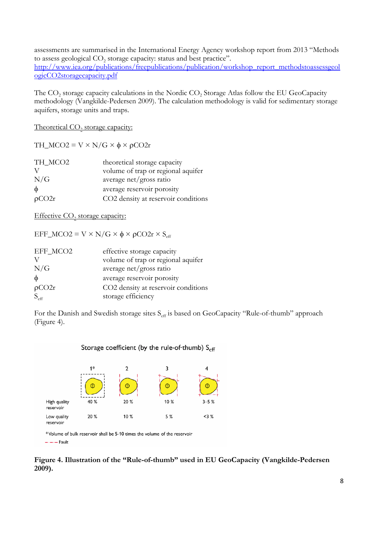assessments are summarised in the International Energy Agency workshop report from 2013 "Methods to assess geological CO<sub>2</sub> storage capacity: status and best practice". [http://www.iea.org/publications/freepublications/publication/workshop\\_report\\_methodstoassessgeol](http://www.iea.org/publications/freepublications/publication/workshop_report_methodstoassessgeologicCO2storagecapacity.pdf) [ogicCO2storagecapacity.pdf](http://www.iea.org/publications/freepublications/publication/workshop_report_methodstoassessgeologicCO2storagecapacity.pdf)

The  $CO<sub>2</sub>$  storage capacity calculations in the Nordic  $CO<sub>2</sub>$  Storage Atlas follow the EU GeoCapacity methodology (Vangkilde-Pedersen 2009). The calculation methodology is valid for sedimentary storage aquifers, storage units and traps.

Theoretical CO<sub>2</sub> storage capacity:

TH\_MCO2 =  $V \times N/G \times \phi \times \rho CO2r$ 

| TH MCO2 | theoretical storage capacity        |
|---------|-------------------------------------|
|         | volume of trap or regional aquifer  |
| N/G     | average net/gross ratio             |
| $\phi$  | average reservoir porosity          |
| pCO2r   | CO2 density at reservoir conditions |

Effective  $CO<sub>2</sub>$  storage capacity:

EFF\_MCO2 = V × N/G × φ × ρCO2r × S<sub>eff</sub>

| EFF_MCO2         | effective storage capacity          |
|------------------|-------------------------------------|
|                  | volume of trap or regional aquifer  |
| N/G              | average net/gross ratio             |
| $\phi$           | average reservoir porosity          |
| $\rho CO2r$      | CO2 density at reservoir conditions |
| $S_{\text{eff}}$ | storage efficiency                  |

For the Danish and Swedish storage sites S<sub>eff</sub> is based on GeoCapacity "Rule-of-thumb" approach (Figure 4).



\*Volume of bulk reservoir shall be 5-10 times the volume of the reservoir  $-\cdots$  Fault

**Figure 4. Illustration of the "Rule-of-thumb" used in EU GeoCapacity (Vangkilde-Pedersen 2009).**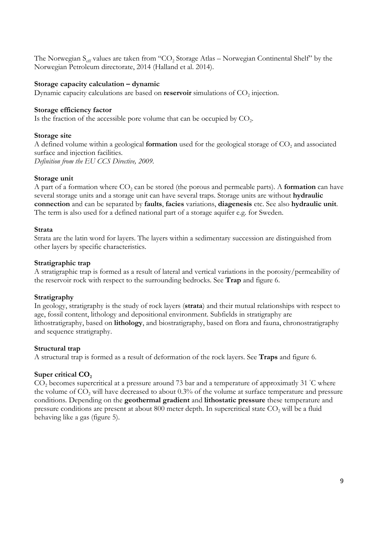The Norwegian  $S_{\text{eff}}$  values are taken from "CO<sub>2</sub> Storage Atlas – Norwegian Continental Shelf" by the Norwegian Petroleum directorate, 2014 (Halland et al. 2014).

#### **Storage capacity calculation – dynamic**

Dynamic capacity calculations are based on **reservoir** simulations of CO<sub>2</sub> injection.

#### **Storage efficiency factor**

Is the fraction of the accessible pore volume that can be occupied by  $CO<sub>2</sub>$ .

#### **Storage site**

A defined volume within a geological **formation** used for the geological storage of CO<sub>2</sub> and associated surface and injection facilities. *Definition from the EU CCS Directive, 2009.*

#### **Storage unit**

A part of a formation where CO<sub>2</sub> can be stored (the porous and permeable parts). A **formation** can have several storage units and a storage unit can have several traps. Storage units are without **hydraulic connection** and can be separated by **faults**, **facies** variations, **diagenesis** etc. See also **hydraulic unit**. The term is also used for a defined national part of a storage aquifer e.g. for Sweden.

#### **Strata**

Strata are the latin word for layers. The layers within a sedimentary succession are distinguished from other layers by specific characteristics.

#### **Stratigraphic trap**

A stratigraphic trap is formed as a result of lateral and vertical variations in the [porosity/](https://en.wikipedia.org/wiki/Porosity)permeability of the reservoir rock with respect to the surrounding bedrocks. See **Trap** and figure 6.

#### **Stratigraphy**

In geology, stratigraphy is the study of rock layers (**strata**) and their mutual relationships with respect to age, fossil content, lithology and depositional environment. Subfields in stratigraphy are lithostratigraphy, based on **lithology**, and biostratigraphy, based on flora and fauna, chronostratigraphy and sequence stratigraphy.

#### **Structural trap**

A structural trap is formed as a result of deformation of the rock layers. See **Traps** and figure 6.

#### **Super critical CO<sub>2</sub>**

CO<sub>2</sub> becomes supercritical at a pressure around 73 bar and a temperature of approximatly 31 ℃ where the volume of  $CO<sub>2</sub>$  will have decreased to about 0.3% of the volume at surface temperature and pressure conditions. Depending on the **geothermal gradient** and **lithostatic pressure** these temperature and pressure conditions are present at about 800 meter depth. In supercritical state CO<sub>2</sub> will be a fluid behaving like a gas (figure 5).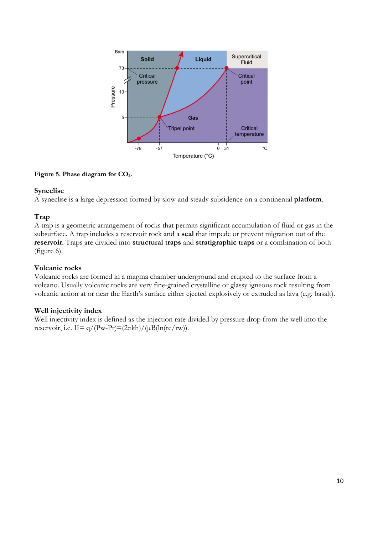

#### **Figure 5. Phase diagram for CO2.**

#### **Syneclise**

A syneclise is a large depression formed by slow and steady subsidence on a continental **platform**.

#### **Trap**

A trap is a geometric arrangement of rocks that permits significant accumulation of fluid or gas in the subsurface. A trap includes a reservoir rock and a **seal** that impede or prevent migration out of the **reservoir**. Traps are divided into **structural traps** and **stratigraphic traps** or a combination of both (figure 6).

#### **Volcanic rocks**

Volcanic rocks are formed in a magma chamber underground and erupted to the surface from a volcano. Usually volcanic rocks are very fine-grained crystalline or glassy igneous rock resulting from volcanic action at or near the Earth's surface either ejected explosively or extruded as lava (e.g. basalt).

#### **Well injectivity index**

Well injectivity index is defined as the injection rate divided by pressure drop from the well into the reservoir, i.e. II=  $q/(Pw-Pr)=(2\pi kh)/(\mu B(ln(re/rw)).$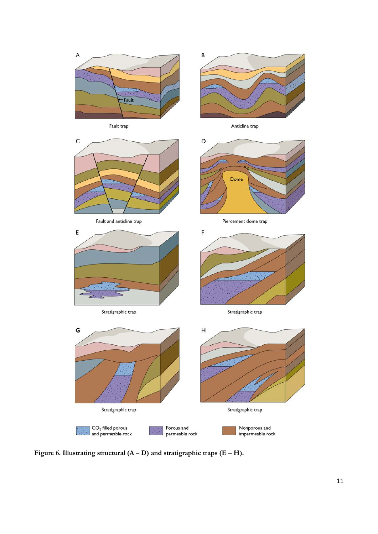

**Figure 6. Illustrating structural (A – D) and stratigraphic traps (E – H).**